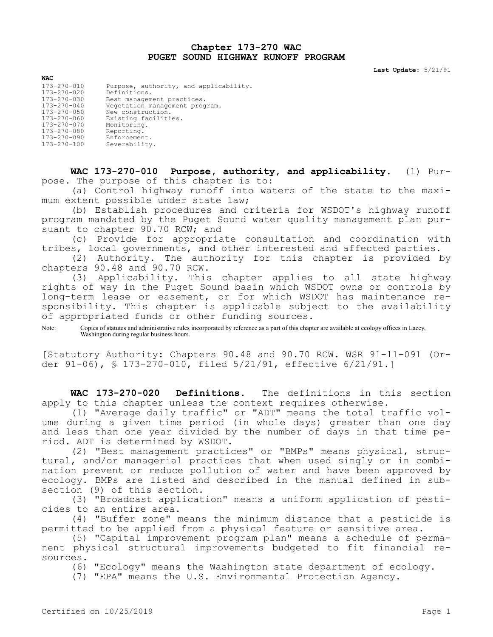## **Chapter 173-270 WAC PUGET SOUND HIGHWAY RUNOFF PROGRAM**

**Last Update:** 5/21/91

| <b>WAC</b>        |                                        |
|-------------------|----------------------------------------|
| 173-270-010       | Purpose, authority, and applicability. |
| $173 - 270 - 020$ | Definitions.                           |
| $173 - 270 - 030$ | Best management practices.             |
| $173 - 270 - 040$ | Vegetation management program.         |
| $173 - 270 - 050$ | New construction.                      |
| 173-270-060       | Existing facilities.                   |
| $173 - 270 - 070$ | Monitoring.                            |
| 173-270-080       | Reporting.                             |
| 173-270-090       | Enforcement.                           |
| 173-270-100       | Severability.                          |

**WAC 173-270-010 Purpose, authority, and applicability.** (1) Purpose. The purpose of this chapter is to:

(a) Control highway runoff into waters of the state to the maximum extent possible under state law;

(b) Establish procedures and criteria for WSDOT's highway runoff program mandated by the Puget Sound water quality management plan pursuant to chapter  $90.70$  RCW; and

(c) Provide for appropriate consultation and coordination with tribes, local governments, and other interested and affected parties.

(2) Authority. The authority for this chapter is provided by chapters 90.48 and 90.70 RCW.

(3) Applicability. This chapter applies to all state highway rights of way in the Puget Sound basin which WSDOT owns or controls by long-term lease or easement, or for which WSDOT has maintenance responsibility. This chapter is applicable subject to the availability of appropriated funds or other funding sources.

Note: Copies of statutes and administrative rules incorporated by reference as a part of this chapter are available at ecology offices in Lacey, Washington during regular business hours.

[Statutory Authority: Chapters 90.48 and 90.70 RCW. WSR 91-11-091 (Order 91-06), § 173-270-010, filed 5/21/91, effective 6/21/91.]

**WAC 173-270-020 Definitions.** The definitions in this section apply to this chapter unless the context requires otherwise.

(1) "Average daily traffic" or "ADT" means the total traffic volume during a given time period (in whole days) greater than one day and less than one year divided by the number of days in that time period. ADT is determined by WSDOT.

(2) "Best management practices" or "BMPs" means physical, structural, and/or managerial practices that when used singly or in combination prevent or reduce pollution of water and have been approved by ecology. BMPs are listed and described in the manual defined in subsection (9) of this section.

(3) "Broadcast application" means a uniform application of pesticides to an entire area.

(4) "Buffer zone" means the minimum distance that a pesticide is permitted to be applied from a physical feature or sensitive area.

(5) "Capital improvement program plan" means a schedule of permanent physical structural improvements budgeted to fit financial resources.

(6) "Ecology" means the Washington state department of ecology.

(7) "EPA" means the U.S. Environmental Protection Agency.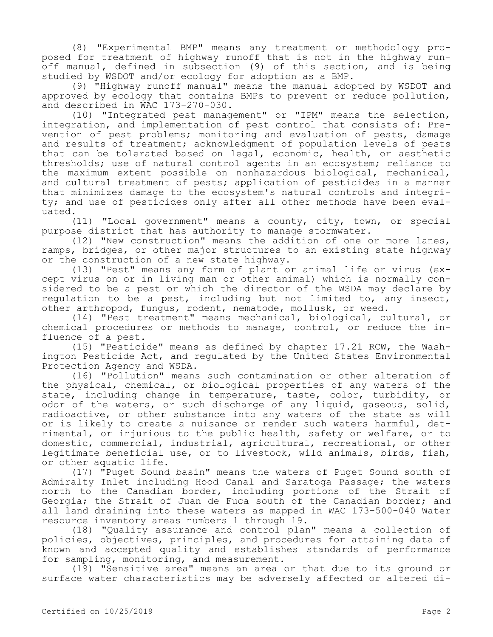(8) "Experimental BMP" means any treatment or methodology proposed for treatment of highway runoff that is not in the highway runoff manual, defined in subsection (9) of this section, and is being studied by WSDOT and/or ecology for adoption as a BMP.

(9) "Highway runoff manual" means the manual adopted by WSDOT and approved by ecology that contains BMPs to prevent or reduce pollution, and described in WAC 173-270-030.

(10) "Integrated pest management" or "IPM" means the selection, integration, and implementation of pest control that consists of: Prevention of pest problems; monitoring and evaluation of pests, damage and results of treatment; acknowledgment of population levels of pests that can be tolerated based on legal, economic, health, or aesthetic thresholds; use of natural control agents in an ecosystem; reliance to the maximum extent possible on nonhazardous biological, mechanical, and cultural treatment of pests; application of pesticides in a manner that minimizes damage to the ecosystem's natural controls and integrity; and use of pesticides only after all other methods have been evaluated.

(11) "Local government" means a county, city, town, or special purpose district that has authority to manage stormwater.

(12) "New construction" means the addition of one or more lanes, ramps, bridges, or other major structures to an existing state highway or the construction of a new state highway.

(13) "Pest" means any form of plant or animal life or virus (except virus on or in living man or other animal) which is normally considered to be a pest or which the director of the WSDA may declare by regulation to be a pest, including but not limited to, any insect, other arthropod, fungus, rodent, nematode, mollusk, or weed.

(14) "Pest treatment" means mechanical, biological, cultural, or chemical procedures or methods to manage, control, or reduce the influence of a pest.

(15) "Pesticide" means as defined by chapter 17.21 RCW, the Washington Pesticide Act, and regulated by the United States Environmental Protection Agency and WSDA.

(16) "Pollution" means such contamination or other alteration of the physical, chemical, or biological properties of any waters of the state, including change in temperature, taste, color, turbidity, or odor of the waters, or such discharge of any liquid, gaseous, solid, radioactive, or other substance into any waters of the state as will or is likely to create a nuisance or render such waters harmful, detrimental, or injurious to the public health, safety or welfare, or to domestic, commercial, industrial, agricultural, recreational, or other legitimate beneficial use, or to livestock, wild animals, birds, fish, or other aquatic life.

(17) "Puget Sound basin" means the waters of Puget Sound south of Admiralty Inlet including Hood Canal and Saratoga Passage; the waters north to the Canadian border, including portions of the Strait of Georgia; the Strait of Juan de Fuca south of the Canadian border; and all land draining into these waters as mapped in WAC 173-500-040 Water resource inventory areas numbers 1 through 19.

(18) "Quality assurance and control plan" means a collection of policies, objectives, principles, and procedures for attaining data of known and accepted quality and establishes standards of performance for sampling, monitoring, and measurement.

(19) "Sensitive area" means an area or that due to its ground or surface water characteristics may be adversely affected or altered di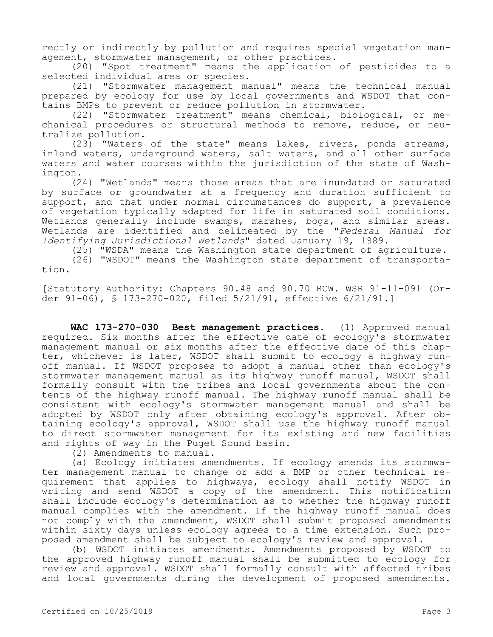rectly or indirectly by pollution and requires special vegetation management, stormwater management, or other practices.

(20) "Spot treatment" means the application of pesticides to a selected individual area or species.

(21) "Stormwater management manual" means the technical manual prepared by ecology for use by local governments and WSDOT that contains BMPs to prevent or reduce pollution in stormwater.

(22) "Stormwater treatment" means chemical, biological, or mechanical procedures or structural methods to remove, reduce, or neutralize pollution.

 $(23)$  "Waters of the state" means lakes, rivers, ponds streams, inland waters, underground waters, salt waters, and all other surface waters and water courses within the jurisdiction of the state of Washington.

(24) "Wetlands" means those areas that are inundated or saturated by surface or groundwater at a frequency and duration sufficient to support, and that under normal circumstances do support, a prevalence of vegetation typically adapted for life in saturated soil conditions. Wetlands generally include swamps, marshes, bogs, and similar areas. Wetlands are identified and delineated by the "*Federal Manual for Identifying Jurisdictional Wetlands*" dated January 19, 1989.

(25) "WSDA" means the Washington state department of agriculture.

(26) "WSDOT" means the Washington state department of transportation.

[Statutory Authority: Chapters 90.48 and 90.70 RCW. WSR 91-11-091 (Order 91-06), § 173-270-020, filed 5/21/91, effective 6/21/91.]

**WAC 173-270-030 Best management practices.** (1) Approved manual required. Six months after the effective date of ecology's stormwater management manual or six months after the effective date of this chapter, whichever is later, WSDOT shall submit to ecology a highway runoff manual. If WSDOT proposes to adopt a manual other than ecology's stormwater management manual as its highway runoff manual, WSDOT shall formally consult with the tribes and local governments about the contents of the highway runoff manual. The highway runoff manual shall be consistent with ecology's stormwater management manual and shall be adopted by WSDOT only after obtaining ecology's approval. After obtaining ecology's approval, WSDOT shall use the highway runoff manual to direct stormwater management for its existing and new facilities and rights of way in the Puget Sound basin.

(2) Amendments to manual.

(a) Ecology initiates amendments. If ecology amends its stormwater management manual to change or add a BMP or other technical requirement that applies to highways, ecology shall notify WSDOT in writing and send WSDOT a copy of the amendment. This notification shall include ecology's determination as to whether the highway runoff manual complies with the amendment. If the highway runoff manual does not comply with the amendment, WSDOT shall submit proposed amendments within sixty days unless ecology agrees to a time extension. Such proposed amendment shall be subject to ecology's review and approval.

(b) WSDOT initiates amendments. Amendments proposed by WSDOT to the approved highway runoff manual shall be submitted to ecology for review and approval. WSDOT shall formally consult with affected tribes and local governments during the development of proposed amendments.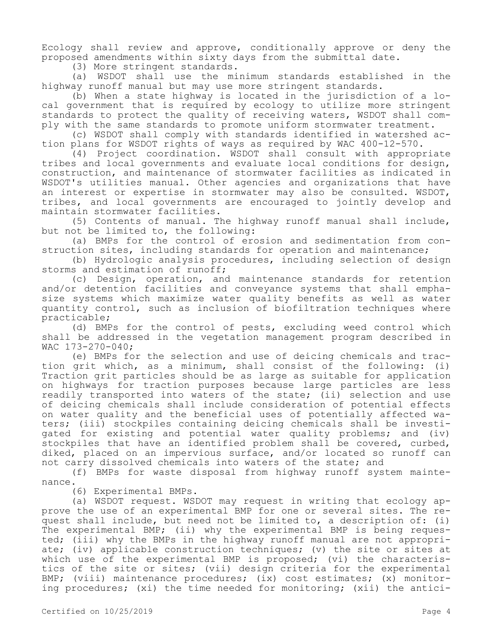Ecology shall review and approve, conditionally approve or deny the proposed amendments within sixty days from the submittal date.

(3) More stringent standards.

(a) WSDOT shall use the minimum standards established in the highway runoff manual but may use more stringent standards.

(b) When a state highway is located in the jurisdiction of a local government that is required by ecology to utilize more stringent standards to protect the quality of receiving waters, WSDOT shall comply with the same standards to promote uniform stormwater treatment.

(c) WSDOT shall comply with standards identified in watershed action plans for WSDOT rights of ways as required by WAC 400-12-570.

(4) Project coordination. WSDOT shall consult with appropriate tribes and local governments and evaluate local conditions for design, construction, and maintenance of stormwater facilities as indicated in WSDOT's utilities manual. Other agencies and organizations that have an interest or expertise in stormwater may also be consulted. WSDOT, tribes, and local governments are encouraged to jointly develop and maintain stormwater facilities.

(5) Contents of manual. The highway runoff manual shall include, but not be limited to, the following:

(a) BMPs for the control of erosion and sedimentation from construction sites, including standards for operation and maintenance;

(b) Hydrologic analysis procedures, including selection of design storms and estimation of runoff;

(c) Design, operation, and maintenance standards for retention and/or detention facilities and conveyance systems that shall emphasize systems which maximize water quality benefits as well as water quantity control, such as inclusion of biofiltration techniques where practicable;

(d) BMPs for the control of pests, excluding weed control which shall be addressed in the vegetation management program described in WAC 173-270-040;

(e) BMPs for the selection and use of deicing chemicals and traction grit which, as a minimum, shall consist of the following: (i) Traction grit particles should be as large as suitable for application on highways for traction purposes because large particles are less readily transported into waters of the state; (ii) selection and use of deicing chemicals shall include consideration of potential effects on water quality and the beneficial uses of potentially affected waters; (iii) stockpiles containing deicing chemicals shall be investigated for existing and potential water quality problems; and (iv) stockpiles that have an identified problem shall be covered, curbed, diked, placed on an impervious surface, and/or located so runoff can not carry dissolved chemicals into waters of the state; and

(f) BMPs for waste disposal from highway runoff system maintenance.

(6) Experimental BMPs.

(a) WSDOT request. WSDOT may request in writing that ecology approve the use of an experimental BMP for one or several sites. The request shall include, but need not be limited to, a description of: (i) The experimental BMP; (ii) why the experimental BMP is being requested; (iii) why the BMPs in the highway runoff manual are not appropriate; (iv) applicable construction techniques; (v) the site or sites at which use of the experimental BMP is proposed; (vi) the characteristics of the site or sites; (vii) design criteria for the experimental BMP; (viii) maintenance procedures; (ix) cost estimates; (x) monitoring procedures; (xi) the time needed for monitoring; (xii) the antici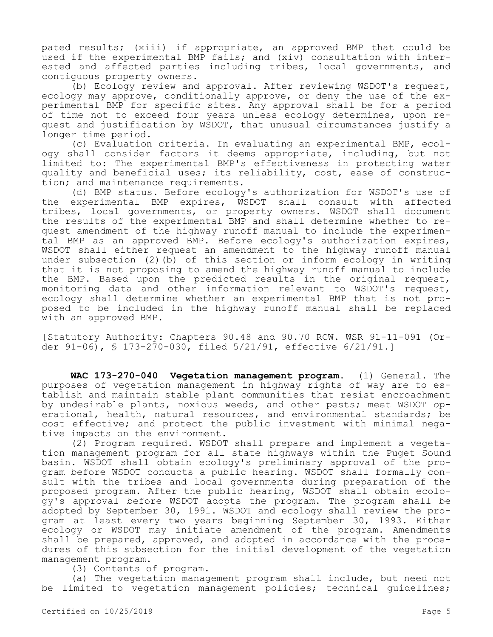pated results; (xiii) if appropriate, an approved BMP that could be used if the experimental BMP fails; and (xiv) consultation with interested and affected parties including tribes, local governments, and contiguous property owners.

(b) Ecology review and approval. After reviewing WSDOT's request, ecology may approve, conditionally approve, or deny the use of the experimental BMP for specific sites. Any approval shall be for a period of time not to exceed four years unless ecology determines, upon request and justification by WSDOT, that unusual circumstances justify a longer time period.

(c) Evaluation criteria. In evaluating an experimental BMP, ecology shall consider factors it deems appropriate, including, but not limited to: The experimental BMP's effectiveness in protecting water quality and beneficial uses; its reliability, cost, ease of construction; and maintenance requirements.

(d) BMP status. Before ecology's authorization for WSDOT's use of the experimental BMP expires, WSDOT shall consult with affected tribes, local governments, or property owners. WSDOT shall document the results of the experimental BMP and shall determine whether to request amendment of the highway runoff manual to include the experimental BMP as an approved BMP. Before ecology's authorization expires, WSDOT shall either request an amendment to the highway runoff manual under subsection (2)(b) of this section or inform ecology in writing that it is not proposing to amend the highway runoff manual to include the BMP. Based upon the predicted results in the original request, monitoring data and other information relevant to WSDOT's request, ecology shall determine whether an experimental BMP that is not proposed to be included in the highway runoff manual shall be replaced with an approved BMP.

[Statutory Authority: Chapters 90.48 and 90.70 RCW. WSR 91-11-091 (Order 91-06), § 173-270-030, filed 5/21/91, effective 6/21/91.]

**WAC 173-270-040 Vegetation management program.** (1) General. The purposes of vegetation management in highway rights of way are to establish and maintain stable plant communities that resist encroachment by undesirable plants, noxious weeds, and other pests; meet WSDOT operational, health, natural resources, and environmental standards; be cost effective; and protect the public investment with minimal negative impacts on the environment.

(2) Program required. WSDOT shall prepare and implement a vegetation management program for all state highways within the Puget Sound basin. WSDOT shall obtain ecology's preliminary approval of the program before WSDOT conducts a public hearing. WSDOT shall formally consult with the tribes and local governments during preparation of the proposed program. After the public hearing, WSDOT shall obtain ecology's approval before WSDOT adopts the program. The program shall be adopted by September 30, 1991. WSDOT and ecology shall review the program at least every two years beginning September 30, 1993. Either ecology or WSDOT may initiate amendment of the program. Amendments shall be prepared, approved, and adopted in accordance with the procedures of this subsection for the initial development of the vegetation management program.

(3) Contents of program.

(a) The vegetation management program shall include, but need not be limited to vegetation management policies; technical quidelines;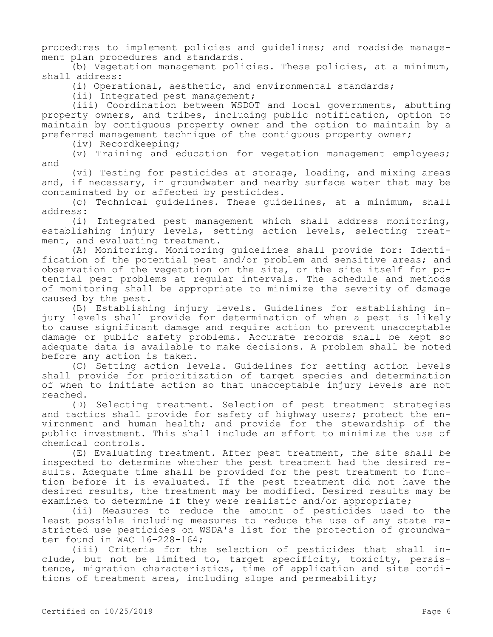procedures to implement policies and guidelines; and roadside management plan procedures and standards.

(b) Vegetation management policies. These policies, at a minimum, shall address:

(i) Operational, aesthetic, and environmental standards;

(ii) Integrated pest management;

(iii) Coordination between WSDOT and local governments, abutting property owners, and tribes, including public notification, option to maintain by contiguous property owner and the option to maintain by a preferred management technique of the contiguous property owner;

(iv) Recordkeeping;

(v) Training and education for vegetation management employees; and

(vi) Testing for pesticides at storage, loading, and mixing areas and, if necessary, in groundwater and nearby surface water that may be contaminated by or affected by pesticides.

(c) Technical guidelines. These guidelines, at a minimum, shall address:

(i) Integrated pest management which shall address monitoring, establishing injury levels, setting action levels, selecting treatment, and evaluating treatment.

(A) Monitoring. Monitoring guidelines shall provide for: Identification of the potential pest and/or problem and sensitive areas; and observation of the vegetation on the site, or the site itself for potential pest problems at regular intervals. The schedule and methods of monitoring shall be appropriate to minimize the severity of damage caused by the pest.

(B) Establishing injury levels. Guidelines for establishing injury levels shall provide for determination of when a pest is likely to cause significant damage and require action to prevent unacceptable damage or public safety problems. Accurate records shall be kept so adequate data is available to make decisions. A problem shall be noted before any action is taken.

(C) Setting action levels. Guidelines for setting action levels shall provide for prioritization of target species and determination of when to initiate action so that unacceptable injury levels are not reached.

(D) Selecting treatment. Selection of pest treatment strategies and tactics shall provide for safety of highway users; protect the environment and human health; and provide for the stewardship of the public investment. This shall include an effort to minimize the use of chemical controls.

(E) Evaluating treatment. After pest treatment, the site shall be inspected to determine whether the pest treatment had the desired results. Adequate time shall be provided for the pest treatment to function before it is evaluated. If the pest treatment did not have the desired results, the treatment may be modified. Desired results may be examined to determine if they were realistic and/or appropriate;

(ii) Measures to reduce the amount of pesticides used to the least possible including measures to reduce the use of any state restricted use pesticides on WSDA's list for the protection of groundwater found in WAC 16-228-164;

(iii) Criteria for the selection of pesticides that shall include, but not be limited to, target specificity, toxicity, persistence, migration characteristics, time of application and site conditions of treatment area, including slope and permeability;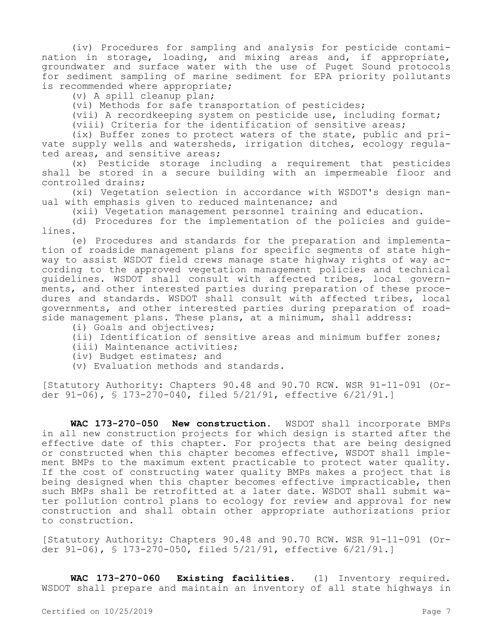(iv) Procedures for sampling and analysis for pesticide contamination in storage, loading, and mixing areas and, if appropriate, groundwater and surface water with the use of Puget Sound protocols for sediment sampling of marine sediment for EPA priority pollutants is recommended where appropriate;

(v) A spill cleanup plan;

(vi) Methods for safe transportation of pesticides;

(vii) A recordkeeping system on pesticide use, including format;

(viii) Criteria for the identification of sensitive areas;

(ix) Buffer zones to protect waters of the state, public and private supply wells and watersheds, irrigation ditches, ecology regulated areas, and sensitive areas;

(x) Pesticide storage including a requirement that pesticides shall be stored in a secure building with an impermeable floor and controlled drains;

(xi) Vegetation selection in accordance with WSDOT's design manual with emphasis given to reduced maintenance; and

(xii) Vegetation management personnel training and education.

(d) Procedures for the implementation of the policies and guidelines.

(e) Procedures and standards for the preparation and implementation of roadside management plans for specific segments of state highway to assist WSDOT field crews manage state highway rights of way according to the approved vegetation management policies and technical guidelines. WSDOT shall consult with affected tribes, local governments, and other interested parties during preparation of these procedures and standards. WSDOT shall consult with affected tribes, local governments, and other interested parties during preparation of roadside management plans. These plans, at a minimum, shall address:

- (i) Goals and objectives;
- (ii) Identification of sensitive areas and minimum buffer zones;
- (iii) Maintenance activities;
- (iv) Budget estimates; and
- (v) Evaluation methods and standards.

[Statutory Authority: Chapters 90.48 and 90.70 RCW. WSR 91-11-091 (Order 91-06), § 173-270-040, filed 5/21/91, effective 6/21/91.]

**WAC 173-270-050 New construction.** WSDOT shall incorporate BMPs in all new construction projects for which design is started after the effective date of this chapter. For projects that are being designed or constructed when this chapter becomes effective, WSDOT shall implement BMPs to the maximum extent practicable to protect water quality. If the cost of constructing water quality BMPs makes a project that is being designed when this chapter becomes effective impracticable, then such BMPs shall be retrofitted at a later date. WSDOT shall submit water pollution control plans to ecology for review and approval for new construction and shall obtain other appropriate authorizations prior to construction.

[Statutory Authority: Chapters 90.48 and 90.70 RCW. WSR 91-11-091 (Order 91-06), § 173-270-050, filed 5/21/91, effective 6/21/91.]

**WAC 173-270-060 Existing facilities.** (1) Inventory required. WSDOT shall prepare and maintain an inventory of all state highways in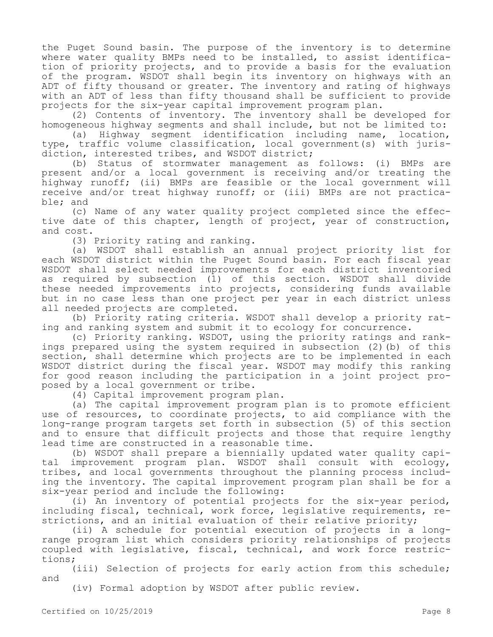the Puget Sound basin. The purpose of the inventory is to determine where water quality BMPs need to be installed, to assist identification of priority projects, and to provide a basis for the evaluation of the program. WSDOT shall begin its inventory on highways with an ADT of fifty thousand or greater. The inventory and rating of highways with an ADT of less than fifty thousand shall be sufficient to provide projects for the six-year capital improvement program plan.

(2) Contents of inventory. The inventory shall be developed for homogeneous highway segments and shall include, but not be limited to:

(a) Highway segment identification including name, location, type, traffic volume classification, local government(s) with jurisdiction, interested tribes, and WSDOT district;

(b) Status of stormwater management as follows: (i) BMPs are present and/or a local government is receiving and/or treating the highway runoff; (ii) BMPs are feasible or the local government will receive and/or treat highway runoff; or (iii) BMPs are not practicable; and

(c) Name of any water quality project completed since the effective date of this chapter, length of project, year of construction, and cost.

(3) Priority rating and ranking.

(a) WSDOT shall establish an annual project priority list for each WSDOT district within the Puget Sound basin. For each fiscal year WSDOT shall select needed improvements for each district inventoried as required by subsection (1) of this section. WSDOT shall divide these needed improvements into projects, considering funds available but in no case less than one project per year in each district unless all needed projects are completed.

(b) Priority rating criteria. WSDOT shall develop a priority rating and ranking system and submit it to ecology for concurrence.

(c) Priority ranking. WSDOT, using the priority ratings and rankings prepared using the system required in subsection (2)(b) of this section, shall determine which projects are to be implemented in each WSDOT district during the fiscal year. WSDOT may modify this ranking for good reason including the participation in a joint project proposed by a local government or tribe.

(4) Capital improvement program plan.

(a) The capital improvement program plan is to promote efficient use of resources, to coordinate projects, to aid compliance with the long-range program targets set forth in subsection (5) of this section and to ensure that difficult projects and those that require lengthy lead time are constructed in a reasonable time.

(b) WSDOT shall prepare a biennially updated water quality capital improvement program plan. WSDOT shall consult with ecology, tribes, and local governments throughout the planning process including the inventory. The capital improvement program plan shall be for a six-year period and include the following:

(i) An inventory of potential projects for the six-year period, including fiscal, technical, work force, legislative requirements, restrictions, and an initial evaluation of their relative priority;

(ii) A schedule for potential execution of projects in a longrange program list which considers priority relationships of projects coupled with legislative, fiscal, technical, and work force restrictions;

(iii) Selection of projects for early action from this schedule; and

(iv) Formal adoption by WSDOT after public review.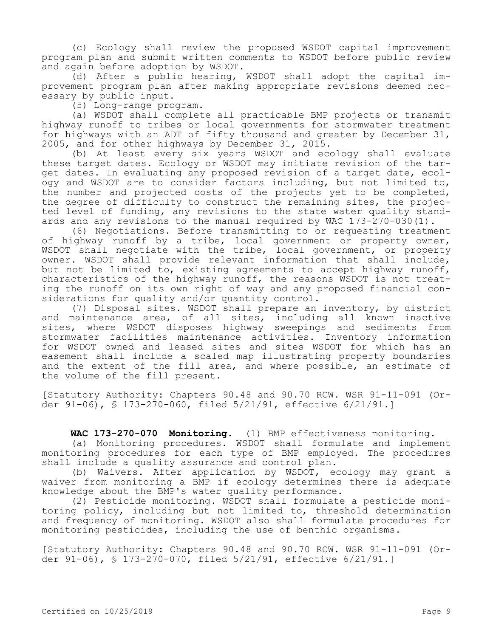(c) Ecology shall review the proposed WSDOT capital improvement program plan and submit written comments to WSDOT before public review and again before adoption by WSDOT.

(d) After a public hearing, WSDOT shall adopt the capital improvement program plan after making appropriate revisions deemed necessary by public input.

(5) Long-range program.

(a) WSDOT shall complete all practicable BMP projects or transmit highway runoff to tribes or local governments for stormwater treatment for highways with an ADT of fifty thousand and greater by December 31, 2005, and for other highways by December 31, 2015.

(b) At least every six years WSDOT and ecology shall evaluate these target dates. Ecology or WSDOT may initiate revision of the target dates. In evaluating any proposed revision of a target date, ecology and WSDOT are to consider factors including, but not limited to, the number and projected costs of the projects yet to be completed, the degree of difficulty to construct the remaining sites, the projected level of funding, any revisions to the state water quality standards and any revisions to the manual required by WAC 173-270-030(1).

(6) Negotiations. Before transmitting to or requesting treatment of highway runoff by a tribe, local government or property owner, WSDOT shall negotiate with the tribe, local government, or property owner. WSDOT shall provide relevant information that shall include, but not be limited to, existing agreements to accept highway runoff, characteristics of the highway runoff, the reasons WSDOT is not treating the runoff on its own right of way and any proposed financial considerations for quality and/or quantity control.

(7) Disposal sites. WSDOT shall prepare an inventory, by district and maintenance area, of all sites, including all known inactive sites, where WSDOT disposes highway sweepings and sediments from stormwater facilities maintenance activities. Inventory information for WSDOT owned and leased sites and sites WSDOT for which has an easement shall include a scaled map illustrating property boundaries and the extent of the fill area, and where possible, an estimate of the volume of the fill present.

[Statutory Authority: Chapters 90.48 and 90.70 RCW. WSR 91-11-091 (Order 91-06), § 173-270-060, filed 5/21/91, effective 6/21/91.]

**WAC 173-270-070 Monitoring.** (1) BMP effectiveness monitoring.

(a) Monitoring procedures. WSDOT shall formulate and implement monitoring procedures for each type of BMP employed. The procedures shall include a quality assurance and control plan.

(b) Waivers. After application by WSDOT, ecology may grant a waiver from monitoring a BMP if ecology determines there is adequate knowledge about the BMP's water quality performance.

(2) Pesticide monitoring. WSDOT shall formulate a pesticide monitoring policy, including but not limited to, threshold determination and frequency of monitoring. WSDOT also shall formulate procedures for monitoring pesticides, including the use of benthic organisms.

[Statutory Authority: Chapters 90.48 and 90.70 RCW. WSR 91-11-091 (Order 91-06), § 173-270-070, filed 5/21/91, effective 6/21/91.]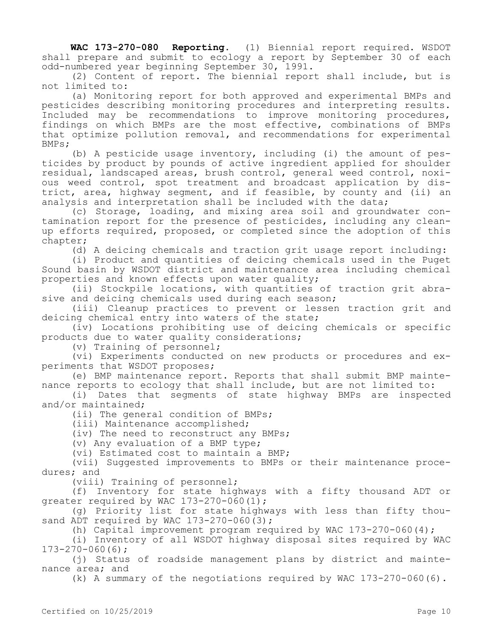**WAC 173-270-080 Reporting.** (1) Biennial report required. WSDOT shall prepare and submit to ecology a report by September 30 of each odd-numbered year beginning September 30, 1991.

(2) Content of report. The biennial report shall include, but is not limited to:

(a) Monitoring report for both approved and experimental BMPs and pesticides describing monitoring procedures and interpreting results. Included may be recommendations to improve monitoring procedures, findings on which BMPs are the most effective, combinations of BMPs that optimize pollution removal, and recommendations for experimental BMPs;

(b) A pesticide usage inventory, including (i) the amount of pesticides by product by pounds of active ingredient applied for shoulder residual, landscaped areas, brush control, general weed control, noxious weed control, spot treatment and broadcast application by district, area, highway segment, and if feasible, by county and (ii) an analysis and interpretation shall be included with the data;

(c) Storage, loading, and mixing area soil and groundwater contamination report for the presence of pesticides, including any cleanup efforts required, proposed, or completed since the adoption of this chapter;

(d) A deicing chemicals and traction grit usage report including:

(i) Product and quantities of deicing chemicals used in the Puget Sound basin by WSDOT district and maintenance area including chemical properties and known effects upon water quality;

(ii) Stockpile locations, with quantities of traction grit abrasive and deicing chemicals used during each season;

(iii) Cleanup practices to prevent or lessen traction grit and deicing chemical entry into waters of the state;

(iv) Locations prohibiting use of deicing chemicals or specific products due to water quality considerations;

(v) Training of personnel;

(vi) Experiments conducted on new products or procedures and experiments that WSDOT proposes;

(e) BMP maintenance report. Reports that shall submit BMP maintenance reports to ecology that shall include, but are not limited to:

(i) Dates that segments of state highway BMPs are inspected and/or maintained;

(ii) The general condition of BMPs;

(iii) Maintenance accomplished;

(iv) The need to reconstruct any BMPs;

(v) Any evaluation of a BMP type;

(vi) Estimated cost to maintain a BMP;

(vii) Suggested improvements to BMPs or their maintenance procedures; and

(viii) Training of personnel;

(f) Inventory for state highways with a fifty thousand ADT or greater required by WAC 173-270-060 $(1);$ 

(g) Priority list for state highways with less than fifty thousand ADT required by WAC 173-270-060(3);

(h) Capital improvement program required by WAC  $173-270-060(4)$ ;

(i) Inventory of all WSDOT highway disposal sites required by WAC 173-270-060(6);

(j) Status of roadside management plans by district and maintenance area; and

(k) A summary of the negotiations required by WAC 173-270-060(6).